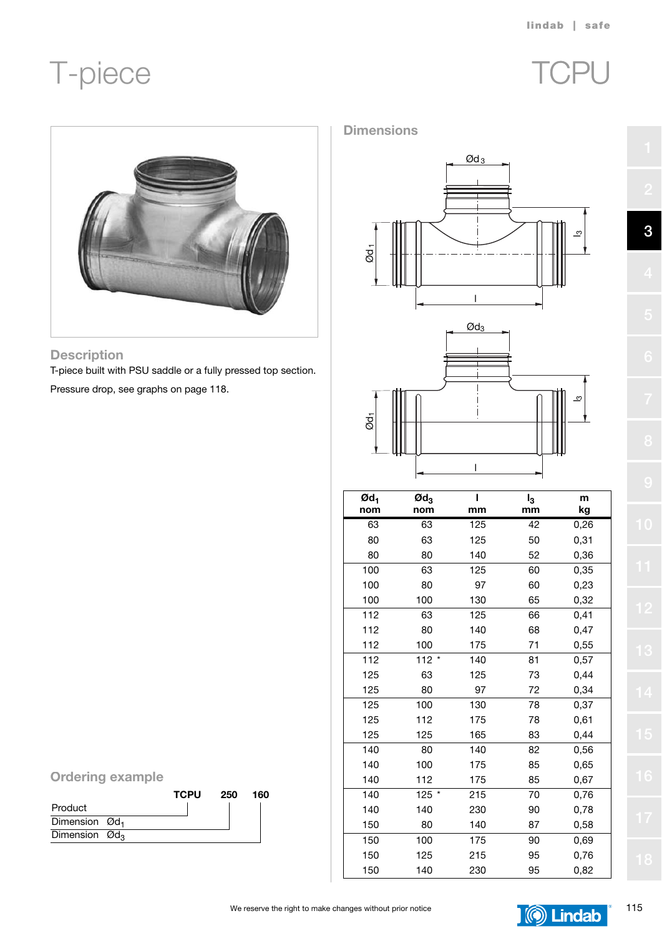# T-piece TCPU





### **Description**

T-piece built with PSU saddle or a fully pressed top section.

Pressure drop, see graphs on page 118.







| $\boldsymbol{\mathsf{Qd}}_1$<br>nom | $\mathfrak{A}_3$<br>nom | ı<br>mm | $I_3$<br>mm | m    |
|-------------------------------------|-------------------------|---------|-------------|------|
|                                     |                         |         |             | kg   |
| 63                                  | 63                      | 125     | 42          | 0,26 |
| 80                                  | 63                      | 125     | 50          | 0,31 |
| 80                                  | 80                      | 140     | 52          | 0,36 |
| 100                                 | 63                      | 125     | 60          | 0,35 |
| 100                                 | 80                      | 97      | 60          | 0,23 |
| 100                                 | 100                     | 130     | 65          | 0,32 |
| 112                                 | 63                      | 125     | 66          | 0,41 |
| 112                                 | 80                      | 140     | 68          | 0,47 |
| 112                                 | 100                     | 175     | 71          | 0,55 |
| 112                                 | $112 *$                 | 140     | 81          | 0,57 |
| 125                                 | 63                      | 125     | 73          | 0,44 |
| 125                                 | 80                      | 97      | 72          | 0,34 |
| 125                                 | 100                     | 130     | 78          | 0,37 |
| 125                                 | 112                     | 175     | 78          | 0,61 |
| 125                                 | 125                     | 165     | 83          | 0,44 |
| 140                                 | 80                      | 140     | 82          | 0,56 |
| 140                                 | 100                     | 175     | 85          | 0,65 |
| 140                                 | 112                     | 175     | 85          | 0,67 |
| 140                                 | 125 *                   | 215     | 70          | 0,76 |
| 140                                 | 140                     | 230     | 90          | 0,78 |
| 150                                 | 80                      | 140     | 87          | 0,58 |
| 150                                 | 100                     | 175     | 90          | 0,69 |
| 150                                 | 125                     | 215     | 95          | 0,76 |
| 150                                 | 140                     | 230     | 95          | 0,82 |

|  | <b>Ordering example</b> |
|--|-------------------------|

|                            |  | <b>TCPU</b> | 250 | 160 |
|----------------------------|--|-------------|-----|-----|
| Product                    |  |             |     |     |
| Dimension Ød <sub>1</sub>  |  |             |     |     |
| Dimension $\mathcal{O}d_3$ |  |             |     |     |



**3**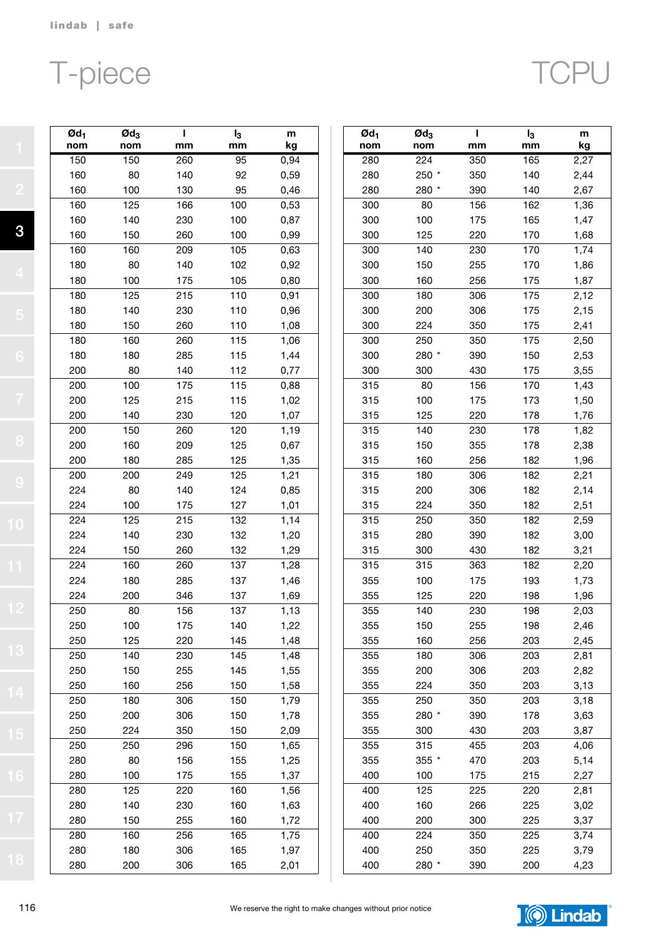**3**

# T-piece

|--|--|

| $\boldsymbol{\mathsf{Qd}}_1$<br>nom | $\boldsymbol{\text{O}}$ d <sub>3</sub><br>nom | ı<br>mm | $I_3$<br>mm | m<br>kg |
|-------------------------------------|-----------------------------------------------|---------|-------------|---------|
| 150                                 | 150                                           | 260     | 95          | 0,94    |
| 160                                 | 80                                            | 140     | 92          | 0,59    |
| 160                                 | 100                                           | 130     | 95          | 0,46    |
| 160                                 | 125                                           | 166     | 100         | 0,53    |
| 160                                 | 140                                           | 230     | 100         | 0,87    |
| 160                                 | 150                                           | 260     | 100         | 0,99    |
| 160                                 | 160                                           | 209     | 105         | 0,63    |
| 180                                 | 80                                            | 140     | 102         | 0,92    |
| 180                                 | 100                                           | 175     | 105         | 0,80    |
| 180                                 | 125                                           | 215     | 110         | 0,91    |
| 180                                 | 140                                           | 230     | 110         | 0,96    |
| 180                                 | 150                                           | 260     | 110         | 1,08    |
| 180                                 | 160                                           | 260     | 115         | 1,06    |
| 180                                 | 180                                           | 285     | 115         | 1,44    |
| 200                                 | 80                                            | 140     | 112         | 0,77    |
| 200                                 | 100                                           | 175     | 115         | 0,88    |
| 200                                 | 125                                           | 215     | 115         | 1,02    |
| 200                                 | 140                                           | 230     | 120         | 1,07    |
| 200                                 | 150                                           | 260     | 120         | 1,19    |
| 200                                 | 160                                           | 209     | 125         | 0,67    |
| 200                                 | 180                                           | 285     | 125         | 1,35    |
| 200                                 | 200                                           | 249     | 125         | 1,21    |
| 224                                 | 80                                            | 140     | 124         | 0,85    |
| 224                                 | 100                                           | 175     | 127         | 1,01    |
| 224                                 | 125                                           | 215     | 132         | 1,14    |
| 224                                 | 140                                           | 230     | 132         | 1,20    |
| 224                                 | 150                                           | 260     | 132         | 1,29    |
| 224                                 | 160                                           | 260     | 137         | 1,28    |
| 224                                 | 180                                           | 285     | 137         | 1,46    |
| 224                                 | 200                                           | 346     | 137         | 1,69    |
| 250                                 | 80                                            | 156     | 137         | 1,13    |
| 250                                 | 100                                           | 175     | 140         | 1,22    |
| 250                                 | 125                                           | 220     | 145         | 1,48    |
| 250                                 | 140                                           | 230     | 145         | 1,48    |
| 250                                 | 150                                           | 255     | 145         | 1,55    |
| 250                                 | 160                                           | 256     | 150         | 1,58    |
| 250                                 | 180                                           | 306     | 150         | 1,79    |
| 250                                 | 200                                           | 306     | 150         | 1,78    |
| 250                                 | 224                                           | 350     | 150         | 2,09    |
| 250                                 | 250                                           | 296     | 150         | 1,65    |
| 280                                 | 80                                            | 156     | 155         | 1,25    |
| 280                                 | 100                                           | 175     | 155         | 1,37    |
| 280                                 | 125                                           | 220     | 160         | 1,56    |
| 280                                 | 140                                           | 230     | 160         | 1,63    |
| 280                                 | 150                                           | 255     | 160         | 1,72    |
| 280                                 | 160                                           | 256     | 165         | 1,75    |
| 280                                 | 180                                           | 306     | 165         | 1,97    |
| 280                                 | 200                                           | 306     | 165         | 2,01    |

| $\boldsymbol{\mathsf{Qd}}_1$<br>nom | $\boldsymbol{\mathsf{O}}$ d <sub>3</sub><br>nom | ı<br>mm | $I_3$<br>mm | m<br>kg |
|-------------------------------------|-------------------------------------------------|---------|-------------|---------|
| 280                                 | 224                                             | 350     | 165         | 2,27    |
| 280                                 | $250 *$                                         | 350     | 140         | 2,44    |
| 280                                 | 280 *                                           | 390     | 140         | 2,67    |
| 300                                 | 80                                              | 156     | 162         | 1,36    |
| 300                                 | 100                                             | 175     | 165         | 1,47    |
| 300                                 | 125                                             | 220     | 170         | 1,68    |
| 300                                 | 140                                             | 230     | 170         | 1,74    |
| 300                                 | 150                                             | 255     | 170         | 1,86    |
| 300                                 | 160                                             | 256     | 175         | 1,87    |
| 300                                 | 180                                             | 306     | 175         | 2,12    |
| 300                                 | 200                                             | 306     | 175         | 2,15    |
| 300                                 | 224                                             | 350     | 175         | 2,41    |
| 300                                 | 250                                             | 350     | 175         | 2,50    |
| 300                                 | 280 *                                           | 390     | 150         | 2,53    |
| 300                                 | 300                                             | 430     | 175         | 3,55    |
| 315                                 | 80                                              | 156     | 170         | 1,43    |
| 315                                 | 100                                             | 175     | 173         | 1,50    |
| 315                                 | 125                                             | 220     | 178         | 1,76    |
| 315                                 | 140                                             | 230     | 178         | 1,82    |
| 315                                 | 150                                             | 355     | 178         | 2,38    |
| 315                                 | 160                                             | 256     | 182         | 1,96    |
| 315                                 | 180                                             | 306     | 182         | 2,21    |
| 315                                 | 200                                             | 306     | 182         | 2,14    |
| 315                                 | 224                                             | 350     | 182         | 2,51    |
| 315                                 | 250                                             | 350     | 182         | 2,59    |
| 315                                 | 280                                             | 390     | 182         | 3,00    |
| 315                                 | 300                                             | 430     | 182         | 3,21    |
| 315                                 | 315                                             | 363     | 182         | 2,20    |
| 355                                 | 100                                             | 175     | 193         | 1,73    |
| 355                                 | 125                                             | 220     | 198         | 1,96    |
| 355                                 | 140                                             | 230     | 198         | 2,03    |
| 355                                 | 150                                             | 255     | 198         | 2,46    |
| 355                                 | 160                                             | 256     | 203         | 2,45    |
| 355                                 | 180                                             | 306     | 203         | 2,81    |
| 355                                 | 200                                             | 306     | 203         | 2,82    |
| 355                                 | 224                                             | 350     | 203         | 3,13    |
| 355                                 | 250                                             | 350     | 203         | 3,18    |
| 355                                 | 280 *                                           | 390     | 178         | 3,63    |
| 355                                 | 300                                             | 430     | 203         | 3,87    |
| 355                                 | 315                                             | 455     | 203         | 4,06    |
| 355                                 | 355 *                                           | 470     | 203         | 5,14    |
| 400                                 | 100                                             | 175     | 215         | 2,27    |
| 400                                 | 125                                             | 225     | 220         | 2,81    |
| 400                                 | 160                                             | 266     | 225         | 3,02    |
| 400                                 | 200                                             | 300     | 225         | 3,37    |
| 400                                 | 224                                             | 350     | 225         | 3,74    |
| 400                                 | 250                                             | 350     | 225         | 3,79    |
| 400                                 | 280 *                                           | 390     | 200         | 4,23    |

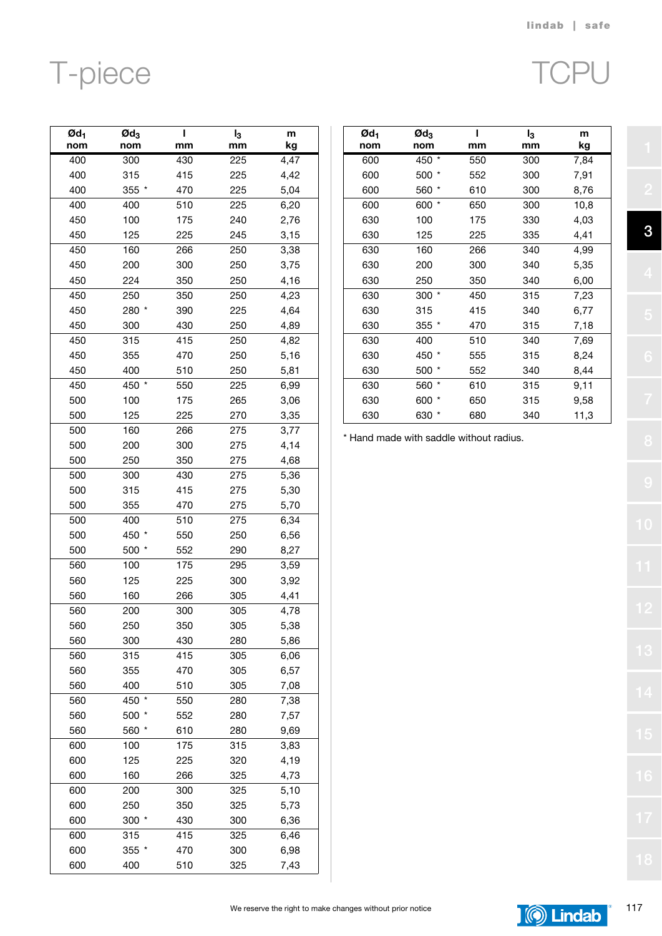# T-piece

|--|--|

| $Qd_1$ | $\boldsymbol{\mathsf{Qd}}_3$ | ı   | I <sub>3</sub> | m            |
|--------|------------------------------|-----|----------------|--------------|
| nom    | nom                          | mm  | mm             | kg           |
| 400    | 300                          | 430 | 225            | 4,47         |
| 400    | 315                          | 415 | 225            | 4,42         |
| 400    | 355 *                        | 470 | 225            | 5,04         |
| 400    | 400                          | 510 | 225            | 6,20         |
| 450    | 100                          | 175 | 240            | 2,76         |
| 450    | 125                          | 225 | 245            | 3,15         |
| 450    | 160                          | 266 | 250            | 3,38         |
| 450    | 200                          | 300 | 250            | 3,75         |
| 450    | 224                          | 350 | 250            | 4,16         |
| 450    | 250                          | 350 | 250            | 4,23         |
| 450    | 280 *                        | 390 | 225            | 4,64         |
| 450    | 300                          | 430 | 250            | 4,89         |
| 450    | 315                          | 415 | 250            | 4,82         |
| 450    | 355                          | 470 | 250            | 5,16         |
| 450    | 400                          | 510 | 250            | 5,81         |
| 450    | 450 *                        | 550 | 225            | 6,99         |
| 500    | 100                          | 175 | 265            | 3,06         |
| 500    | 125                          | 225 | 270            | 3,35         |
| 500    | 160                          | 266 | 275            | 3,77         |
| 500    | 200                          | 300 | 275            | 4,14         |
| 500    | 250                          | 350 | 275            | 4,68         |
| 500    | 300                          | 430 | 275            | 5,36         |
| 500    | 315                          | 415 | 275            | 5,30         |
| 500    | 355                          | 470 | 275            | 5,70         |
| 500    | 400                          | 510 | 275            | 6,34         |
| 500    | 450                          | 550 | 250            | 6,56         |
| 500    | 500 *                        | 552 | 290            | 8,27         |
| 560    | 100                          | 175 | 295            | 3,59         |
| 560    | 125                          | 225 | 300            | 3,92         |
| 560    | 160                          | 266 | 305            | 4,41         |
| 560    | 200                          | 300 | 305            | 4,78         |
| 560    | 250                          | 350 | 305            | 5,38         |
| 560    | 300                          | 430 | 280            |              |
| 560    | 315                          | 415 | 305            | 5,86<br>6,06 |
| 560    | 355                          | 470 | 305            | 6,57         |
| 560    | 400                          | 510 | 305            |              |
|        |                              |     |                | 7,08         |
| 560    | 450 *                        | 550 | 280            | 7,38         |
| 560    | 500                          | 552 | 280            | 7,57         |
| 560    | 560                          | 610 | 280            | 9,69         |
| 600    | 100                          | 175 | 315            | 3,83         |
| 600    | 125                          | 225 | 320            | 4,19         |
| 600    | 160                          | 266 | 325            | 4,73         |
| 600    | 200                          | 300 | 325            | 5,10         |
| 600    | 250                          | 350 | 325            | 5,73         |
| 600    | $300 *$                      | 430 | 300            | 6,36         |
| 600    | 315                          | 415 | 325            | 6,46         |
| 600    | 355 *                        | 470 | 300            | 6,98         |
| 600    | 400                          | 510 | 325            | 7,43         |

| Ød <sub>1</sub><br>nom | $\boldsymbol{\mathsf{Qd}}_3$<br>nom | ı<br>mm | $I_3$<br>mm | m<br>kg |
|------------------------|-------------------------------------|---------|-------------|---------|
| 600                    | 450 *                               | 550     | 300         | 7,84    |
| 600                    | 500 *                               | 552     | 300         | 7,91    |
| 600                    | 560                                 | 610     | 300         | 8,76    |
| 600                    | *<br>600                            | 650     | 300         | 10,8    |
| 630                    | 100                                 | 175     | 330         | 4,03    |
| 630                    | 125                                 | 225     | 335         | 4,41    |
| 630                    | 160                                 | 266     | 340         | 4,99    |
| 630                    | 200                                 | 300     | 340         | 5,35    |
| 630                    | 250                                 | 350     | 340         | 6,00    |
| 630                    | 300 *                               | 450     | 315         | 7,23    |
| 630                    | 315                                 | 415     | 340         | 6,77    |
| 630                    | $355*$                              | 470     | 315         | 7,18    |
| 630                    | 400                                 | 510     | 340         | 7,69    |
| 630                    | 450 *                               | 555     | 315         | 8,24    |
| 630                    | 500                                 | 552     | 340         | 8,44    |
| 630                    | $\star$<br>560                      | 610     | 315         | 9,11    |
| 630                    | 600<br>*                            | 650     | 315         | 9,58    |
| 630                    | 630                                 | 680     | 340         | 11,3    |

\* Hand made with saddle without radius.

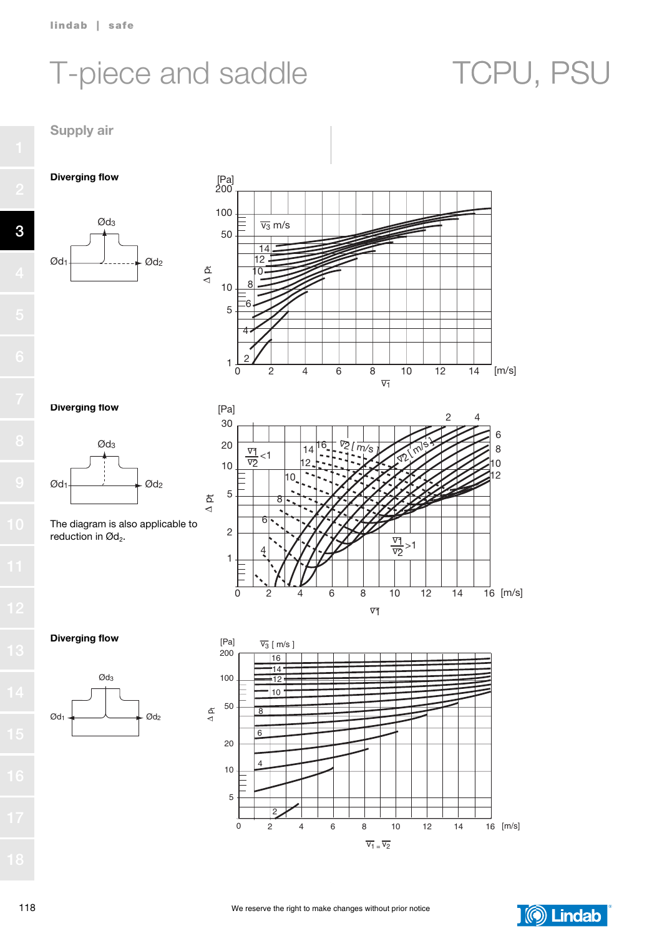# T-piece and saddle TCPU, PSU

Supply air

Diverging flow







## Diverging flow



The diagram is also applicable to reduction in  $\mathcal{O}d_2$ .



### Diverging flow